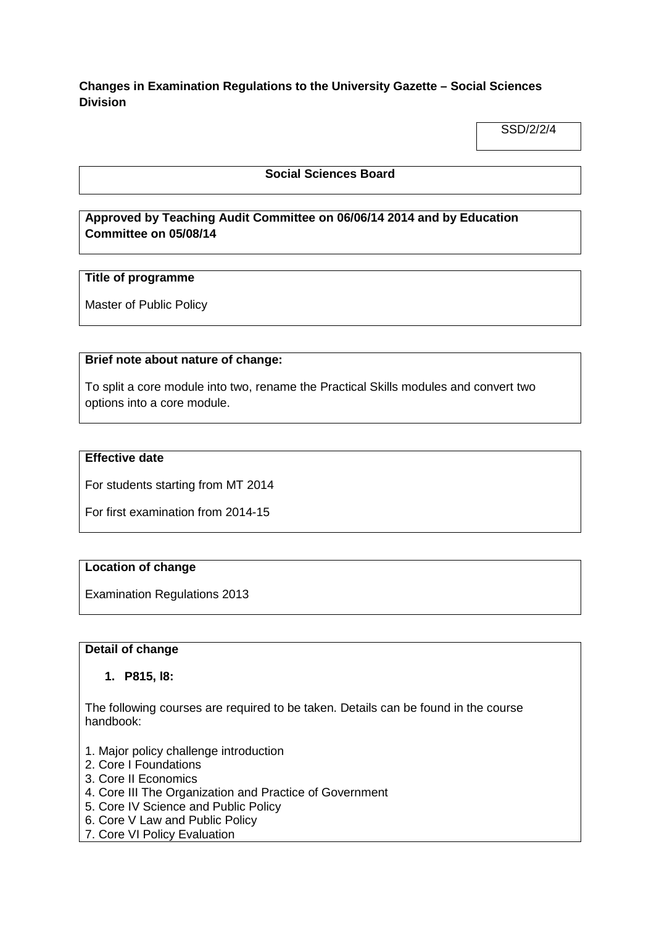## **Changes in Examination Regulations to the University Gazette – Social Sciences Division**

SSD/2/2/4

## **Social Sciences Board**

# **Approved by Teaching Audit Committee on 06/06/14 2014 and by Education Committee on 05/08/14**

## **Title of programme**

Master of Public Policy

## **Brief note about nature of change:**

To split a core module into two, rename the Practical Skills modules and convert two options into a core module.

## **Effective date**

For students starting from MT 2014

For first examination from 2014-15

## **Location of change**

Examination Regulations 2013

## **Detail of change**

## **1. P815, l8:**

The following courses are required to be taken. Details can be found in the course handbook:

- 1. Major policy challenge introduction
- 2. Core I Foundations
- 3. Core II Economics
- 4. Core III The Organization and Practice of Government
- 5. Core IV Science and Public Policy
- 6. Core V Law and Public Policy
- 7. Core VI Policy Evaluation